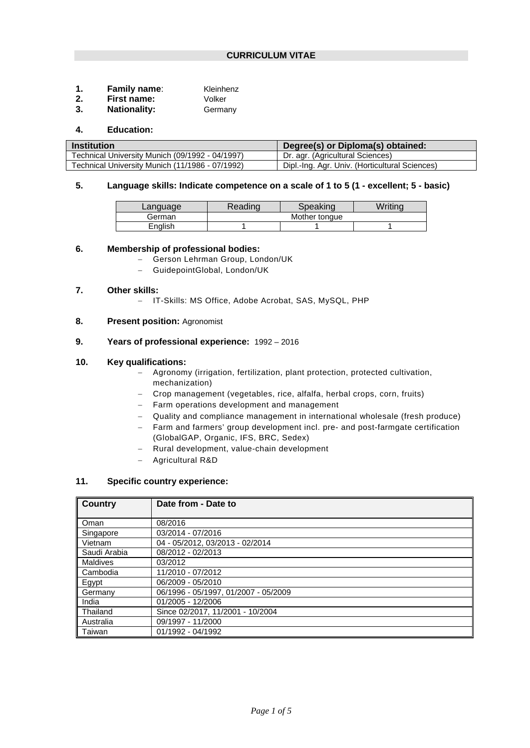| <b>Family name:</b><br>п. |  | Kleinhenz |
|---------------------------|--|-----------|
|---------------------------|--|-----------|

- **2. First name:** Volker
- **Nationality:** Germany

## **4. Education:**

| <b>Institution</b>                              | Degree(s) or Diploma(s) obtained:              |
|-------------------------------------------------|------------------------------------------------|
| Technical University Munich (09/1992 - 04/1997) | Dr. agr. (Agricultural Sciences)               |
| Technical University Munich (11/1986 - 07/1992) | Dipl.-Ing. Agr. Univ. (Horticultural Sciences) |

## **5. Language skills: Indicate competence on a scale of 1 to 5 (1 - excellent; 5 - basic)**

| Language | Reading | Speaking      | Writina |
|----------|---------|---------------|---------|
| German   |         | Mother tongue |         |
| English  |         |               |         |

#### **6. Membership of professional bodies:**

- − Gerson Lehrman Group, London/UK
- − GuidepointGlobal, London/UK

#### **7. Other skills:**

- − IT-Skills: MS Office, Adobe Acrobat, SAS, MySQL, PHP
- **8. Present position:** Agronomist

## **9. Years of professional experience:** 1992 – 2016

## **10. Key qualifications:**

- − Agronomy (irrigation, fertilization, plant protection, protected cultivation, mechanization)
- − Crop management (vegetables, rice, alfalfa, herbal crops, corn, fruits)
- − Farm operations development and management
- − Quality and compliance management in international wholesale (fresh produce)
- − Farm and farmers' group development incl. pre- and post-farmgate certification (GlobalGAP, Organic, IFS, BRC, Sedex)
- − Rural development, value-chain development
- − Agricultural R&D

### **11. Specific country experience:**

| Country         | Date from - Date to                  |  |  |
|-----------------|--------------------------------------|--|--|
|                 |                                      |  |  |
| Oman            | 08/2016                              |  |  |
| Singapore       | 03/2014 - 07/2016                    |  |  |
| Vietnam         | 04 - 05/2012. 03/2013 - 02/2014      |  |  |
| Saudi Arabia    | 08/2012 - 02/2013                    |  |  |
| <b>Maldives</b> | 03/2012                              |  |  |
| Cambodia        | 11/2010 - 07/2012                    |  |  |
| Egypt           | 06/2009 - 05/2010                    |  |  |
| Germany         | 06/1996 - 05/1997, 01/2007 - 05/2009 |  |  |
| India           | 01/2005 - 12/2006                    |  |  |
| Thailand        | Since 02/2017, 11/2001 - 10/2004     |  |  |
| Australia       | 09/1997 - 11/2000                    |  |  |
| Taiwan          | 01/1992 - 04/1992                    |  |  |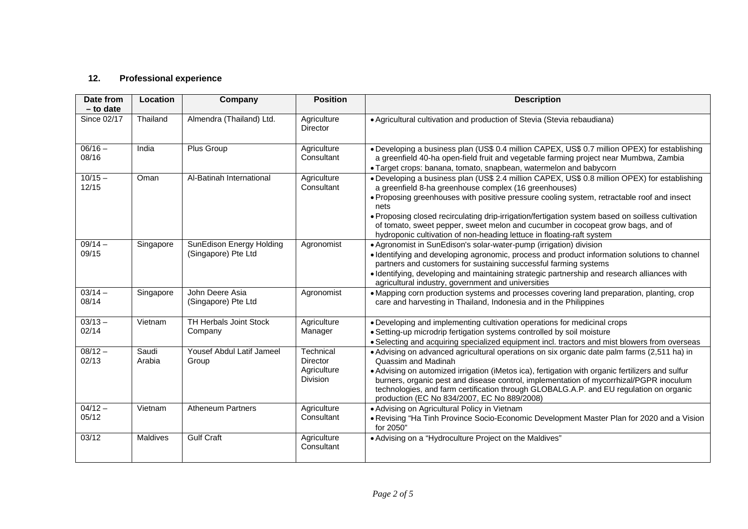# **12. Professional experience**

| Date from<br>$-$ to date | Location        | Company                                         | <b>Position</b>                                                | <b>Description</b>                                                                                                                                                                                                                                                                                                                                                                                                                                                                                                            |
|--------------------------|-----------------|-------------------------------------------------|----------------------------------------------------------------|-------------------------------------------------------------------------------------------------------------------------------------------------------------------------------------------------------------------------------------------------------------------------------------------------------------------------------------------------------------------------------------------------------------------------------------------------------------------------------------------------------------------------------|
| Since 02/17              | Thailand        | Almendra (Thailand) Ltd.                        | Agriculture<br><b>Director</b>                                 | • Agricultural cultivation and production of Stevia (Stevia rebaudiana)                                                                                                                                                                                                                                                                                                                                                                                                                                                       |
| $06/16 -$<br>08/16       | India           | Plus Group                                      | Agriculture<br>Consultant                                      | · Developing a business plan (US\$ 0.4 million CAPEX, US\$ 0.7 million OPEX) for establishing<br>a greenfield 40-ha open-field fruit and vegetable farming project near Mumbwa, Zambia<br>· Target crops: banana, tomato, snapbean, watermelon and babycorn                                                                                                                                                                                                                                                                   |
| $10/15 -$<br>12/15       | Oman            | Al-Batinah International                        | Agriculture<br>Consultant                                      | . Developing a business plan (US\$ 2.4 million CAPEX, US\$ 0.8 million OPEX) for establishing<br>a greenfield 8-ha greenhouse complex (16 greenhouses)<br>• Proposing greenhouses with positive pressure cooling system, retractable roof and insect<br>nets<br>• Proposing closed recirculating drip-irrigation/fertigation system based on soilless cultivation<br>of tomato, sweet pepper, sweet melon and cucumber in cocopeat grow bags, and of<br>hydroponic cultivation of non-heading lettuce in floating-raft system |
| $09/14 -$<br>09/15       | Singapore       | SunEdison Energy Holding<br>(Singapore) Pte Ltd | Agronomist                                                     | • Agronomist in SunEdison's solar-water-pump (irrigation) division<br>• Identifying and developing agronomic, process and product information solutions to channel<br>partners and customers for sustaining successful farming systems<br>· Identifying, developing and maintaining strategic partnership and research alliances with<br>agricultural industry, government and universities                                                                                                                                   |
| $03/14 -$<br>08/14       | Singapore       | John Deere Asia<br>(Singapore) Pte Ltd          | Agronomist                                                     | • Mapping corn production systems and processes covering land preparation, planting, crop<br>care and harvesting in Thailand, Indonesia and in the Philippines                                                                                                                                                                                                                                                                                                                                                                |
| $03/13 -$<br>02/14       | Vietnam         | <b>TH Herbals Joint Stock</b><br>Company        | Agriculture<br>Manager                                         | . Developing and implementing cultivation operations for medicinal crops<br>• Setting-up microdrip fertigation systems controlled by soil moisture<br>• Selecting and acquiring specialized equipment incl. tractors and mist blowers from overseas                                                                                                                                                                                                                                                                           |
| $08/12 -$<br>02/13       | Saudi<br>Arabia | Yousef Abdul Latif Jameel<br>Group              | Technical<br><b>Director</b><br>Agriculture<br><b>Division</b> | • Advising on advanced agricultural operations on six organic date palm farms (2,511 ha) in<br>Quassim and Madinah<br>• Advising on automized irrigation (iMetos ica), fertigation with organic fertilizers and sulfur<br>burners, organic pest and disease control, implementation of mycorrhizal/PGPR inoculum<br>technologies, and farm certification through GLOBALG.A.P. and EU regulation on organic<br>production (EC No 834/2007, EC No 889/2008)                                                                     |
| $04/12 -$<br>05/12       | Vietnam         | <b>Atheneum Partners</b>                        | Agriculture<br>Consultant                                      | • Advising on Agricultural Policy in Vietnam<br>. Revising "Ha Tinh Province Socio-Economic Development Master Plan for 2020 and a Vision<br>for 2050"                                                                                                                                                                                                                                                                                                                                                                        |
| 03/12                    | Maldives        | <b>Gulf Craft</b>                               | Agriculture<br>Consultant                                      | • Advising on a "Hydroculture Project on the Maldives"                                                                                                                                                                                                                                                                                                                                                                                                                                                                        |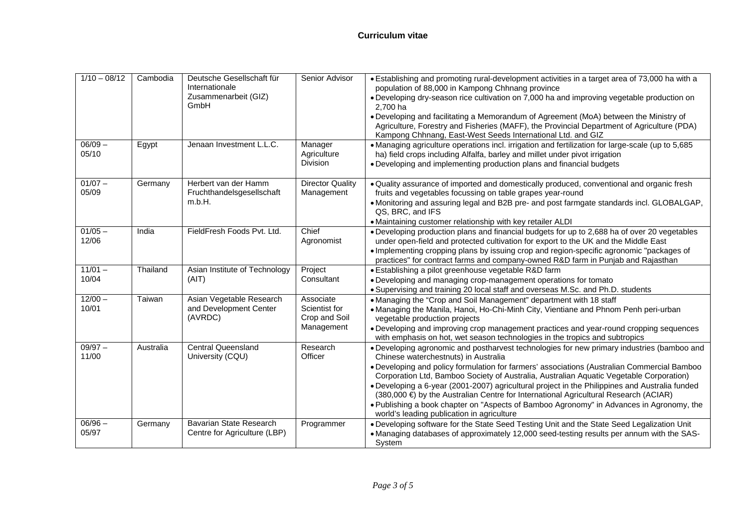| $1/10 - 08/12$     | Cambodia  | Deutsche Gesellschaft für<br>Internationale<br>Zusammenarbeit (GIZ)<br>GmbH | Senior Advisor                                            | • Establishing and promoting rural-development activities in a target area of 73,000 ha with a<br>population of 88,000 in Kampong Chhnang province<br>• Developing dry-season rice cultivation on 7,000 ha and improving vegetable production on<br>2,700 ha<br>. Developing and facilitating a Memorandum of Agreement (MoA) between the Ministry of<br>Agriculture, Forestry and Fisheries (MAFF), the Provincial Department of Agriculture (PDA)<br>Kampong Chhnang, East-West Seeds International Ltd. and GIZ                                                                                                                                               |
|--------------------|-----------|-----------------------------------------------------------------------------|-----------------------------------------------------------|------------------------------------------------------------------------------------------------------------------------------------------------------------------------------------------------------------------------------------------------------------------------------------------------------------------------------------------------------------------------------------------------------------------------------------------------------------------------------------------------------------------------------------------------------------------------------------------------------------------------------------------------------------------|
| $06/09 -$<br>05/10 | Egypt     | Jenaan Investment L.L.C.                                                    | Manager<br>Agriculture<br>Division                        | • Managing agriculture operations incl. irrigation and fertilization for large-scale (up to 5,685<br>ha) field crops including Alfalfa, barley and millet under pivot irrigation<br>. Developing and implementing production plans and financial budgets                                                                                                                                                                                                                                                                                                                                                                                                         |
| $01/07 -$<br>05/09 | Germany   | Herbert van der Hamm<br>Fruchthandelsgesellschaft<br>m.b.H.                 | <b>Director Quality</b><br>Management                     | . Quality assurance of imported and domestically produced, conventional and organic fresh<br>fruits and vegetables focussing on table grapes year-round<br>. Monitoring and assuring legal and B2B pre- and post farmgate standards incl. GLOBALGAP,<br>QS, BRC, and IFS<br>• Maintaining customer relationship with key retailer ALDI                                                                                                                                                                                                                                                                                                                           |
| $01/05 -$<br>12/06 | India     | FieldFresh Foods Pvt. Ltd.                                                  | Chief<br>Agronomist                                       | . Developing production plans and financial budgets for up to 2,688 ha of over 20 vegetables<br>under open-field and protected cultivation for export to the UK and the Middle East<br>. Implementing cropping plans by issuing crop and region-specific agronomic "packages of<br>practices" for contract farms and company-owned R&D farm in Punjab and Rajasthan                                                                                                                                                                                                                                                                                              |
| $11/01 -$<br>10/04 | Thailand  | Asian Institute of Technology<br>(AIT)                                      | Project<br>Consultant                                     | · Establishing a pilot greenhouse vegetable R&D farm<br>• Developing and managing crop-management operations for tomato<br>• Supervising and training 20 local staff and overseas M.Sc. and Ph.D. students                                                                                                                                                                                                                                                                                                                                                                                                                                                       |
| $12/00 -$<br>10/01 | Taiwan    | Asian Vegetable Research<br>and Development Center<br>(AVRDC)               | Associate<br>Scientist for<br>Crop and Soil<br>Management | • Managing the "Crop and Soil Management" department with 18 staff<br>. Managing the Manila, Hanoi, Ho-Chi-Minh City, Vientiane and Phnom Penh peri-urban<br>vegetable production projects<br>. Developing and improving crop management practices and year-round cropping sequences<br>with emphasis on hot, wet season technologies in the tropics and subtropics                                                                                                                                                                                                                                                                                              |
| $09/97 -$<br>11/00 | Australia | <b>Central Queensland</b><br>University (CQU)                               | Research<br>Officer                                       | . Developing agronomic and postharvest technologies for new primary industries (bamboo and<br>Chinese waterchestnuts) in Australia<br>. Developing and policy formulation for farmers' associations (Australian Commercial Bamboo<br>Corporation Ltd, Bamboo Society of Australia, Australian Aquatic Vegetable Corporation)<br>. Developing a 6-year (2001-2007) agricultural project in the Philippines and Australia funded<br>(380,000 €) by the Australian Centre for International Agricultural Research (ACIAR)<br>. Publishing a book chapter on "Aspects of Bamboo Agronomy" in Advances in Agronomy, the<br>world's leading publication in agriculture |
| $06/96 -$<br>05/97 | Germany   | Bavarian State Research<br>Centre for Agriculture (LBP)                     | Programmer                                                | . Developing software for the State Seed Testing Unit and the State Seed Legalization Unit<br>• Managing databases of approximately 12,000 seed-testing results per annum with the SAS-<br>System                                                                                                                                                                                                                                                                                                                                                                                                                                                                |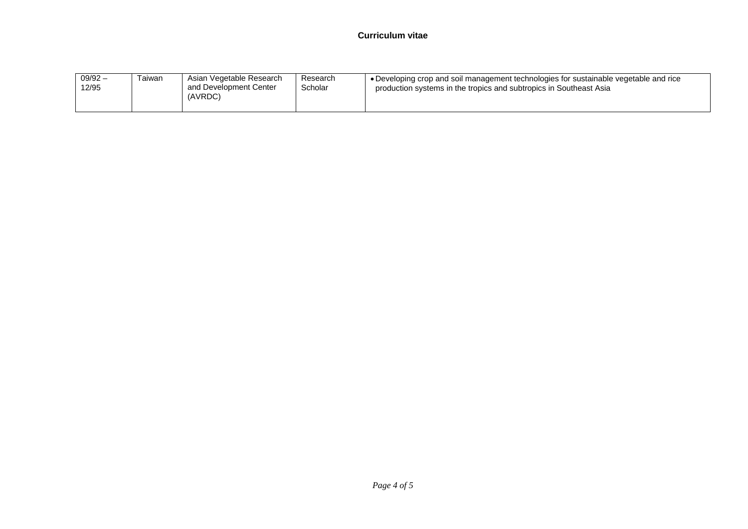| $09/92 -$<br>12/95 | Taiwan | Asian Vegetable Research<br>and Development Center<br>(AVRDC) | Research<br>Scholar | • Developing crop and soil management technologies for sustainable vegetable and rice<br>production systems in the tropics and subtropics in Southeast Asia |
|--------------------|--------|---------------------------------------------------------------|---------------------|-------------------------------------------------------------------------------------------------------------------------------------------------------------|
|--------------------|--------|---------------------------------------------------------------|---------------------|-------------------------------------------------------------------------------------------------------------------------------------------------------------|